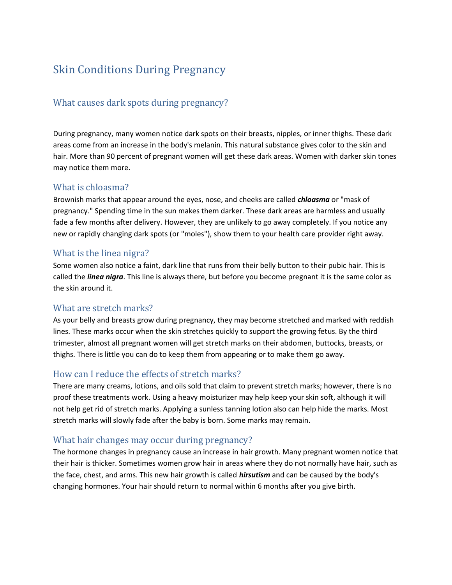# Skin Conditions During Pregnancy

# What causes dark spots during pregnancy?

During pregnancy, many women notice dark spots on their breasts, nipples, or inner thighs. These dark areas come from an increase in the body's melanin. This natural substance gives color to the skin and hair. More than 90 percent of pregnant women will get these dark areas. Women with darker skin tones may notice them more.

#### What is chloasma?

Brownish marks that appear around the eyes, nose, and cheeks are called *chloasma* or "mask of pregnancy." Spending time in the sun makes them darker. These dark areas are harmless and usually fade a few months after delivery. However, they are unlikely to go away completely. If you notice any new or rapidly changing dark spots (or "moles"), show them to your health care provider right away.

#### What is the linea nigra?

Some women also notice a faint, dark line that runs from their belly button to their pubic hair. This is called the *linea nigra*. This line is always there, but before you become pregnant it is the same color as the skin around it.

## What are stretch marks?

As your belly and breasts grow during pregnancy, they may become stretched and marked with reddish lines. These marks occur when the skin stretches quickly to support the growing fetus. By the third trimester, almost all pregnant women will get stretch marks on their abdomen, buttocks, breasts, or thighs. There is little you can do to keep them from appearing or to make them go away.

## How can I reduce the effects of stretch marks?

There are many creams, lotions, and oils sold that claim to prevent stretch marks; however, there is no proof these treatments work. Using a heavy moisturizer may help keep your skin soft, although it will not help get rid of stretch marks. Applying a sunless tanning lotion also can help hide the marks. Most stretch marks will slowly fade after the baby is born. Some marks may remain.

## What hair changes may occur during pregnancy?

The hormone changes in pregnancy cause an increase in hair growth. Many pregnant women notice that their hair is thicker. Sometimes women grow hair in areas where they do not normally have hair, such as the face, chest, and arms. This new hair growth is called *hirsutism* and can be caused by the body's changing hormones. Your hair should return to normal within 6 months after you give birth.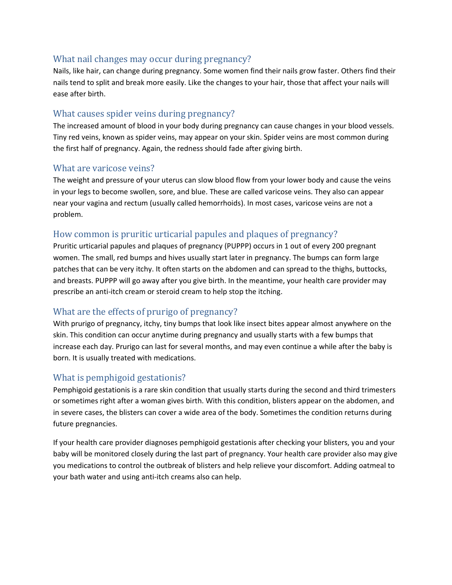## What nail changes may occur during pregnancy?

Nails, like hair, can change during pregnancy. Some women find their nails grow faster. Others find their nails tend to split and break more easily. Like the changes to your hair, those that affect your nails will ease after birth.

# What causes spider veins during pregnancy?

The increased amount of blood in your body during pregnancy can cause changes in your blood vessels. Tiny red veins, known as spider veins, may appear on your skin. Spider veins are most common during the first half of pregnancy. Again, the redness should fade after giving birth.

## What are varicose veins?

The weight and pressure of your uterus can slow blood flow from your lower body and cause the veins in your legs to become swollen, sore, and blue. These are called varicose veins. They also can appear near your vagina and rectum (usually called hemorrhoids). In most cases, varicose veins are not a problem.

# How common is pruritic urticarial papules and plaques of pregnancy?

Pruritic urticarial papules and plaques of pregnancy (PUPPP) occurs in 1 out of every 200 pregnant women. The small, red bumps and hives usually start later in pregnancy. The bumps can form large patches that can be very itchy. It often starts on the abdomen and can spread to the thighs, buttocks, and breasts. PUPPP will go away after you give birth. In the meantime, your health care provider may prescribe an anti-itch cream or steroid cream to help stop the itching.

# What are the effects of prurigo of pregnancy?

With prurigo of pregnancy, itchy, tiny bumps that look like insect bites appear almost anywhere on the skin. This condition can occur anytime during pregnancy and usually starts with a few bumps that increase each day. Prurigo can last for several months, and may even continue a while after the baby is born. It is usually treated with medications.

# What is pemphigoid gestationis?

Pemphigoid gestationis is a rare skin condition that usually starts during the second and third trimesters or sometimes right after a woman gives birth. With this condition, blisters appear on the abdomen, and in severe cases, the blisters can cover a wide area of the body. Sometimes the condition returns during future pregnancies.

If your health care provider diagnoses pemphigoid gestationis after checking your blisters, you and your baby will be monitored closely during the last part of pregnancy. Your health care provider also may give you medications to control the outbreak of blisters and help relieve your discomfort. Adding oatmeal to your bath water and using anti-itch creams also can help.